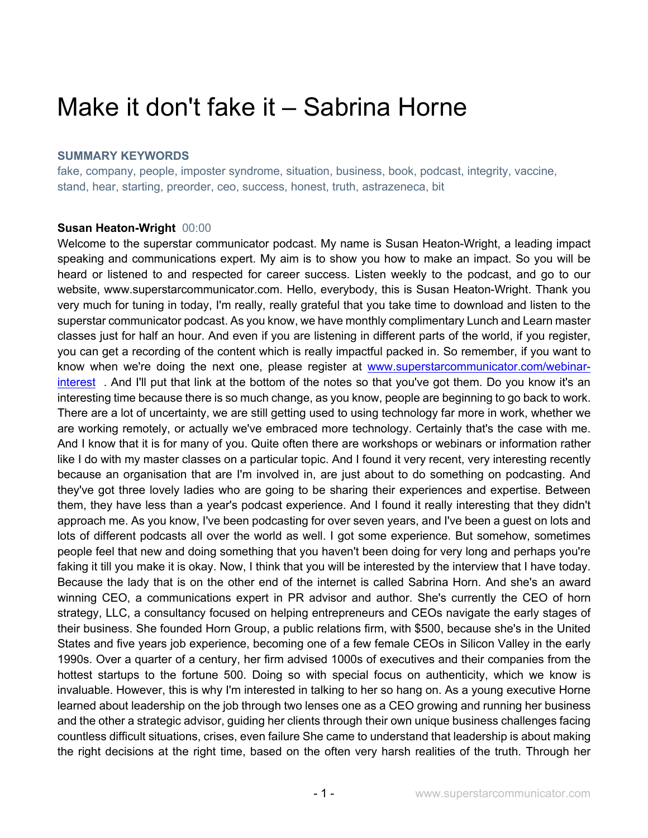# Make it don't fake it – Sabrina Horne

## **SUMMARY KEYWORDS**

fake, company, people, imposter syndrome, situation, business, book, podcast, integrity, vaccine, stand, hear, starting, preorder, ceo, success, honest, truth, astrazeneca, bit

#### **Susan Heaton-Wright** 00:00

Welcome to the superstar communicator podcast. My name is Susan Heaton-Wright, a leading impact speaking and communications expert. My aim is to show you how to make an impact. So you will be heard or listened to and respected for career success. Listen weekly to the podcast, and go to our website, www.superstarcommunicator.com. Hello, everybody, this is Susan Heaton-Wright. Thank you very much for tuning in today, I'm really, really grateful that you take time to download and listen to the superstar communicator podcast. As you know, we have monthly complimentary Lunch and Learn master classes just for half an hour. And even if you are listening in different parts of the world, if you register, you can get a recording of the content which is really impactful packed in. So remember, if you want to know when we're doing the next one, please register at www.superstarcommunicator.com/webinarinterest . And I'll put that link at the bottom of the notes so that you've got them. Do you know it's an interesting time because there is so much change, as you know, people are beginning to go back to work. There are a lot of uncertainty, we are still getting used to using technology far more in work, whether we are working remotely, or actually we've embraced more technology. Certainly that's the case with me. And I know that it is for many of you. Quite often there are workshops or webinars or information rather like I do with my master classes on a particular topic. And I found it very recent, very interesting recently because an organisation that are I'm involved in, are just about to do something on podcasting. And they've got three lovely ladies who are going to be sharing their experiences and expertise. Between them, they have less than a year's podcast experience. And I found it really interesting that they didn't approach me. As you know, I've been podcasting for over seven years, and I've been a guest on lots and lots of different podcasts all over the world as well. I got some experience. But somehow, sometimes people feel that new and doing something that you haven't been doing for very long and perhaps you're faking it till you make it is okay. Now, I think that you will be interested by the interview that I have today. Because the lady that is on the other end of the internet is called Sabrina Horn. And she's an award winning CEO, a communications expert in PR advisor and author. She's currently the CEO of horn strategy, LLC, a consultancy focused on helping entrepreneurs and CEOs navigate the early stages of their business. She founded Horn Group, a public relations firm, with \$500, because she's in the United States and five years job experience, becoming one of a few female CEOs in Silicon Valley in the early 1990s. Over a quarter of a century, her firm advised 1000s of executives and their companies from the hottest startups to the fortune 500. Doing so with special focus on authenticity, which we know is invaluable. However, this is why I'm interested in talking to her so hang on. As a young executive Horne learned about leadership on the job through two lenses one as a CEO growing and running her business and the other a strategic advisor, guiding her clients through their own unique business challenges facing countless difficult situations, crises, even failure She came to understand that leadership is about making the right decisions at the right time, based on the often very harsh realities of the truth. Through her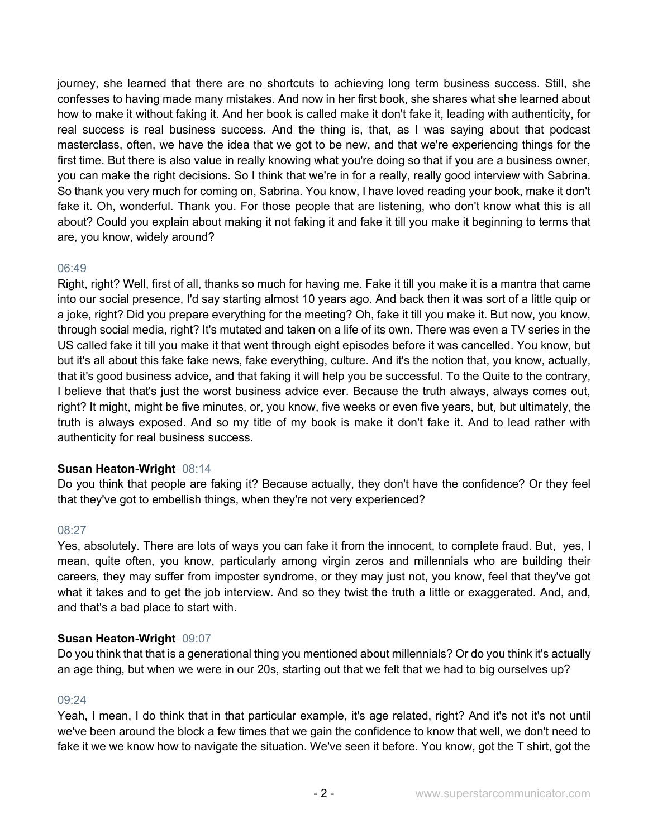journey, she learned that there are no shortcuts to achieving long term business success. Still, she confesses to having made many mistakes. And now in her first book, she shares what she learned about how to make it without faking it. And her book is called make it don't fake it, leading with authenticity, for real success is real business success. And the thing is, that, as I was saying about that podcast masterclass, often, we have the idea that we got to be new, and that we're experiencing things for the first time. But there is also value in really knowing what you're doing so that if you are a business owner, you can make the right decisions. So I think that we're in for a really, really good interview with Sabrina. So thank you very much for coming on, Sabrina. You know, I have loved reading your book, make it don't fake it. Oh, wonderful. Thank you. For those people that are listening, who don't know what this is all about? Could you explain about making it not faking it and fake it till you make it beginning to terms that are, you know, widely around?

# 06:49

Right, right? Well, first of all, thanks so much for having me. Fake it till you make it is a mantra that came into our social presence, I'd say starting almost 10 years ago. And back then it was sort of a little quip or a joke, right? Did you prepare everything for the meeting? Oh, fake it till you make it. But now, you know, through social media, right? It's mutated and taken on a life of its own. There was even a TV series in the US called fake it till you make it that went through eight episodes before it was cancelled. You know, but but it's all about this fake fake news, fake everything, culture. And it's the notion that, you know, actually, that it's good business advice, and that faking it will help you be successful. To the Quite to the contrary, I believe that that's just the worst business advice ever. Because the truth always, always comes out, right? It might, might be five minutes, or, you know, five weeks or even five years, but, but ultimately, the truth is always exposed. And so my title of my book is make it don't fake it. And to lead rather with authenticity for real business success.

## **Susan Heaton-Wright** 08:14

Do you think that people are faking it? Because actually, they don't have the confidence? Or they feel that they've got to embellish things, when they're not very experienced?

## 08:27

Yes, absolutely. There are lots of ways you can fake it from the innocent, to complete fraud. But, yes, I mean, quite often, you know, particularly among virgin zeros and millennials who are building their careers, they may suffer from imposter syndrome, or they may just not, you know, feel that they've got what it takes and to get the job interview. And so they twist the truth a little or exaggerated. And, and, and that's a bad place to start with.

## **Susan Heaton-Wright** 09:07

Do you think that that is a generational thing you mentioned about millennials? Or do you think it's actually an age thing, but when we were in our 20s, starting out that we felt that we had to big ourselves up?

## 09:24

Yeah, I mean, I do think that in that particular example, it's age related, right? And it's not it's not until we've been around the block a few times that we gain the confidence to know that well, we don't need to fake it we we know how to navigate the situation. We've seen it before. You know, got the T shirt, got the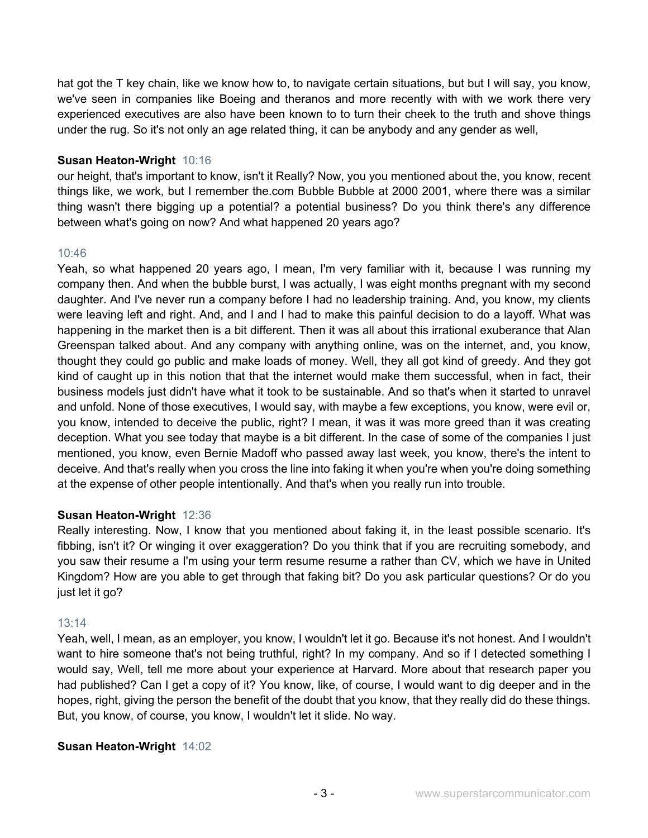hat got the T key chain, like we know how to, to navigate certain situations, but but I will say, you know, we've seen in companies like Boeing and theranos and more recently with with we work there very experienced executives are also have been known to to turn their cheek to the truth and shove things under the rug. So it's not only an age related thing, it can be anybody and any gender as well,

## **Susan Heaton-Wright** 10:16

our height, that's important to know, isn't it Really? Now, you you mentioned about the, you know, recent things like, we work, but I remember the.com Bubble Bubble at 2000 2001, where there was a similar thing wasn't there bigging up a potential? a potential business? Do you think there's any difference between what's going on now? And what happened 20 years ago?

# 10:46

Yeah, so what happened 20 years ago, I mean, I'm very familiar with it, because I was running my company then. And when the bubble burst, I was actually, I was eight months pregnant with my second daughter. And I've never run a company before I had no leadership training. And, you know, my clients were leaving left and right. And, and I and I had to make this painful decision to do a layoff. What was happening in the market then is a bit different. Then it was all about this irrational exuberance that Alan Greenspan talked about. And any company with anything online, was on the internet, and, you know, thought they could go public and make loads of money. Well, they all got kind of greedy. And they got kind of caught up in this notion that that the internet would make them successful, when in fact, their business models just didn't have what it took to be sustainable. And so that's when it started to unravel and unfold. None of those executives, I would say, with maybe a few exceptions, you know, were evil or, you know, intended to deceive the public, right? I mean, it was it was more greed than it was creating deception. What you see today that maybe is a bit different. In the case of some of the companies I just mentioned, you know, even Bernie Madoff who passed away last week, you know, there's the intent to deceive. And that's really when you cross the line into faking it when you're when you're doing something at the expense of other people intentionally. And that's when you really run into trouble.

# **Susan Heaton-Wright** 12:36

Really interesting. Now, I know that you mentioned about faking it, in the least possible scenario. It's fibbing, isn't it? Or winging it over exaggeration? Do you think that if you are recruiting somebody, and you saw their resume a I'm using your term resume resume a rather than CV, which we have in United Kingdom? How are you able to get through that faking bit? Do you ask particular questions? Or do you just let it go?

## 13:14

Yeah, well, I mean, as an employer, you know, I wouldn't let it go. Because it's not honest. And I wouldn't want to hire someone that's not being truthful, right? In my company. And so if I detected something I would say, Well, tell me more about your experience at Harvard. More about that research paper you had published? Can I get a copy of it? You know, like, of course, I would want to dig deeper and in the hopes, right, giving the person the benefit of the doubt that you know, that they really did do these things. But, you know, of course, you know, I wouldn't let it slide. No way.

## **Susan Heaton-Wright** 14:02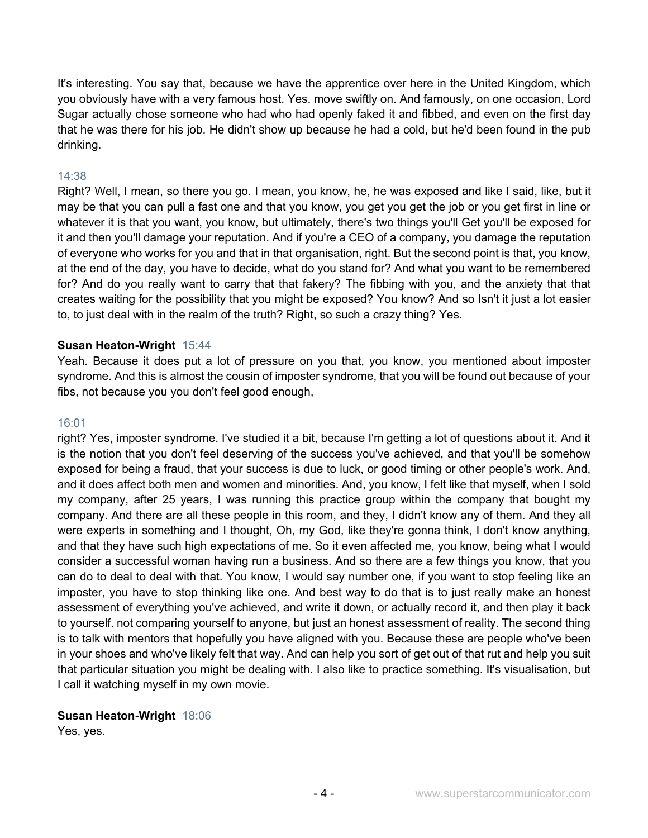It's interesting. You say that, because we have the apprentice over here in the United Kingdom, which you obviously have with a very famous host. Yes. move swiftly on. And famously, on one occasion, Lord Sugar actually chose someone who had who had openly faked it and fibbed, and even on the first day that he was there for his job. He didn't show up because he had a cold, but he'd been found in the pub drinking.

#### 14:38

Right? Well, I mean, so there you go. I mean, you know, he, he was exposed and like I said, like, but it may be that you can pull a fast one and that you know, you get you get the job or you get first in line or whatever it is that you want, you know, but ultimately, there's two things you'll Get you'll be exposed for it and then you'll damage your reputation. And if you're a CEO of a company, you damage the reputation of everyone who works for you and that in that organisation, right. But the second point is that, you know, at the end of the day, you have to decide, what do you stand for? And what you want to be remembered for? And do you really want to carry that that fakery? The fibbing with you, and the anxiety that that creates waiting for the possibility that you might be exposed? You know? And so Isn't it just a lot easier to, to just deal with in the realm of the truth? Right, so such a crazy thing? Yes.

#### **Susan Heaton-Wright** 15:44

Yeah. Because it does put a lot of pressure on you that, you know, you mentioned about imposter syndrome. And this is almost the cousin of imposter syndrome, that you will be found out because of your fibs, not because you you don't feel good enough,

#### 16:01

right? Yes, imposter syndrome. I've studied it a bit, because I'm getting a lot of questions about it. And it is the notion that you don't feel deserving of the success you've achieved, and that you'll be somehow exposed for being a fraud, that your success is due to luck, or good timing or other people's work. And, and it does affect both men and women and minorities. And, you know, I felt like that myself, when I sold my company, after 25 years, I was running this practice group within the company that bought my company. And there are all these people in this room, and they, I didn't know any of them. And they all were experts in something and I thought, Oh, my God, like they're gonna think, I don't know anything, and that they have such high expectations of me. So it even affected me, you know, being what I would consider a successful woman having run a business. And so there are a few things you know, that you can do to deal to deal with that. You know, I would say number one, if you want to stop feeling like an imposter, you have to stop thinking like one. And best way to do that is to just really make an honest assessment of everything you've achieved, and write it down, or actually record it, and then play it back to yourself. not comparing yourself to anyone, but just an honest assessment of reality. The second thing is to talk with mentors that hopefully you have aligned with you. Because these are people who've been in your shoes and who've likely felt that way. And can help you sort of get out of that rut and help you suit that particular situation you might be dealing with. I also like to practice something. It's visualisation, but I call it watching myself in my own movie.

#### **Susan Heaton-Wright** 18:06

Yes, yes.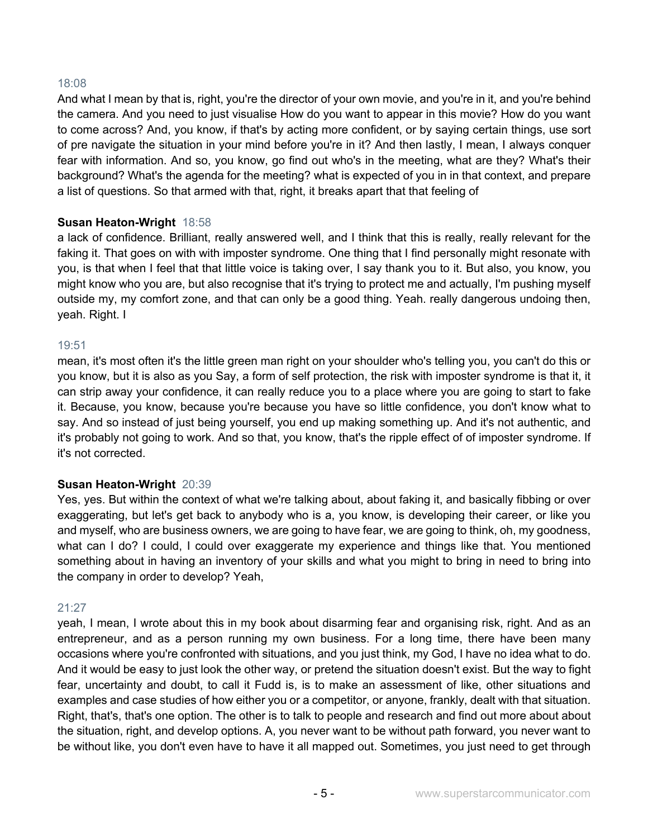#### 18:08

And what I mean by that is, right, you're the director of your own movie, and you're in it, and you're behind the camera. And you need to just visualise How do you want to appear in this movie? How do you want to come across? And, you know, if that's by acting more confident, or by saying certain things, use sort of pre navigate the situation in your mind before you're in it? And then lastly, I mean, I always conquer fear with information. And so, you know, go find out who's in the meeting, what are they? What's their background? What's the agenda for the meeting? what is expected of you in in that context, and prepare a list of questions. So that armed with that, right, it breaks apart that that feeling of

#### **Susan Heaton-Wright** 18:58

a lack of confidence. Brilliant, really answered well, and I think that this is really, really relevant for the faking it. That goes on with with imposter syndrome. One thing that I find personally might resonate with you, is that when I feel that that little voice is taking over, I say thank you to it. But also, you know, you might know who you are, but also recognise that it's trying to protect me and actually, I'm pushing myself outside my, my comfort zone, and that can only be a good thing. Yeah. really dangerous undoing then, yeah. Right. I

#### 19:51

mean, it's most often it's the little green man right on your shoulder who's telling you, you can't do this or you know, but it is also as you Say, a form of self protection, the risk with imposter syndrome is that it, it can strip away your confidence, it can really reduce you to a place where you are going to start to fake it. Because, you know, because you're because you have so little confidence, you don't know what to say. And so instead of just being yourself, you end up making something up. And it's not authentic, and it's probably not going to work. And so that, you know, that's the ripple effect of of imposter syndrome. If it's not corrected.

## **Susan Heaton-Wright** 20:39

Yes, yes. But within the context of what we're talking about, about faking it, and basically fibbing or over exaggerating, but let's get back to anybody who is a, you know, is developing their career, or like you and myself, who are business owners, we are going to have fear, we are going to think, oh, my goodness, what can I do? I could, I could over exaggerate my experience and things like that. You mentioned something about in having an inventory of your skills and what you might to bring in need to bring into the company in order to develop? Yeah,

#### 21:27

yeah, I mean, I wrote about this in my book about disarming fear and organising risk, right. And as an entrepreneur, and as a person running my own business. For a long time, there have been many occasions where you're confronted with situations, and you just think, my God, I have no idea what to do. And it would be easy to just look the other way, or pretend the situation doesn't exist. But the way to fight fear, uncertainty and doubt, to call it Fudd is, is to make an assessment of like, other situations and examples and case studies of how either you or a competitor, or anyone, frankly, dealt with that situation. Right, that's, that's one option. The other is to talk to people and research and find out more about about the situation, right, and develop options. A, you never want to be without path forward, you never want to be without like, you don't even have to have it all mapped out. Sometimes, you just need to get through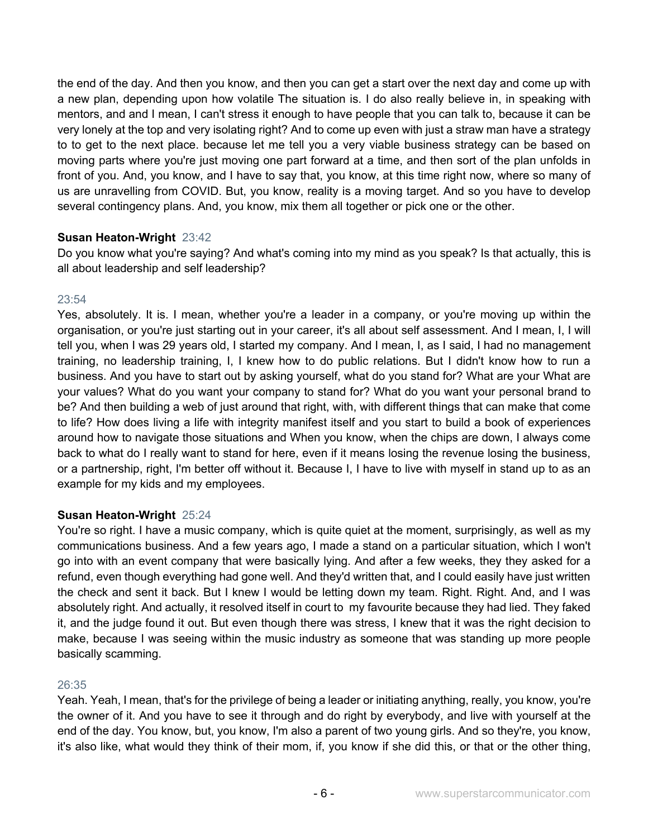the end of the day. And then you know, and then you can get a start over the next day and come up with a new plan, depending upon how volatile The situation is. I do also really believe in, in speaking with mentors, and and I mean, I can't stress it enough to have people that you can talk to, because it can be very lonely at the top and very isolating right? And to come up even with just a straw man have a strategy to to get to the next place. because let me tell you a very viable business strategy can be based on moving parts where you're just moving one part forward at a time, and then sort of the plan unfolds in front of you. And, you know, and I have to say that, you know, at this time right now, where so many of us are unravelling from COVID. But, you know, reality is a moving target. And so you have to develop several contingency plans. And, you know, mix them all together or pick one or the other.

# **Susan Heaton-Wright** 23:42

Do you know what you're saying? And what's coming into my mind as you speak? Is that actually, this is all about leadership and self leadership?

# $23:54$

Yes, absolutely. It is. I mean, whether you're a leader in a company, or you're moving up within the organisation, or you're just starting out in your career, it's all about self assessment. And I mean, I, I will tell you, when I was 29 years old, I started my company. And I mean, I, as I said, I had no management training, no leadership training, I, I knew how to do public relations. But I didn't know how to run a business. And you have to start out by asking yourself, what do you stand for? What are your What are your values? What do you want your company to stand for? What do you want your personal brand to be? And then building a web of just around that right, with, with different things that can make that come to life? How does living a life with integrity manifest itself and you start to build a book of experiences around how to navigate those situations and When you know, when the chips are down, I always come back to what do I really want to stand for here, even if it means losing the revenue losing the business, or a partnership, right, I'm better off without it. Because I, I have to live with myself in stand up to as an example for my kids and my employees.

## **Susan Heaton-Wright** 25:24

You're so right. I have a music company, which is quite quiet at the moment, surprisingly, as well as my communications business. And a few years ago, I made a stand on a particular situation, which I won't go into with an event company that were basically lying. And after a few weeks, they they asked for a refund, even though everything had gone well. And they'd written that, and I could easily have just written the check and sent it back. But I knew I would be letting down my team. Right. Right. And, and I was absolutely right. And actually, it resolved itself in court to my favourite because they had lied. They faked it, and the judge found it out. But even though there was stress, I knew that it was the right decision to make, because I was seeing within the music industry as someone that was standing up more people basically scamming.

## 26:35

Yeah. Yeah, I mean, that's for the privilege of being a leader or initiating anything, really, you know, you're the owner of it. And you have to see it through and do right by everybody, and live with yourself at the end of the day. You know, but, you know, I'm also a parent of two young girls. And so they're, you know, it's also like, what would they think of their mom, if, you know if she did this, or that or the other thing,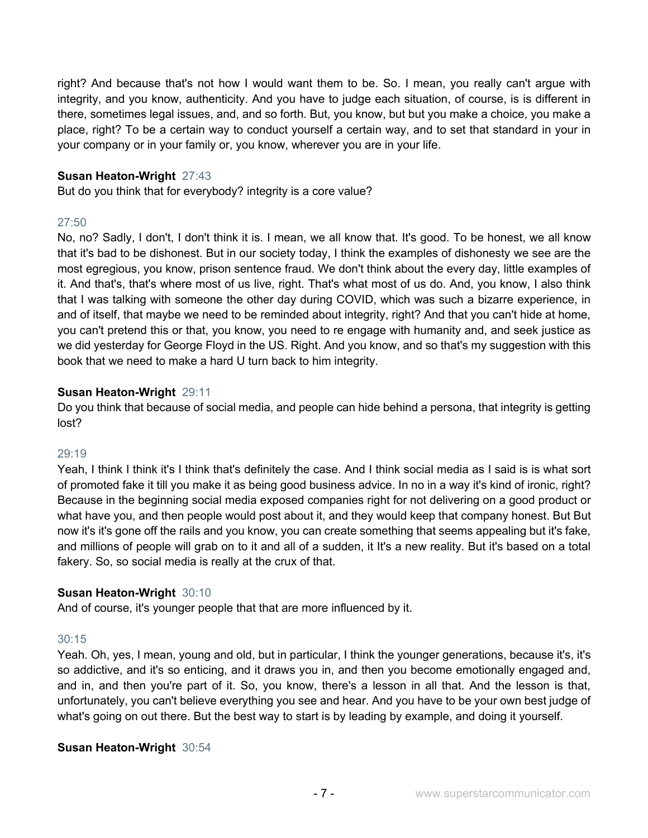right? And because that's not how I would want them to be. So. I mean, you really can't argue with integrity, and you know, authenticity. And you have to judge each situation, of course, is is different in there, sometimes legal issues, and, and so forth. But, you know, but but you make a choice, you make a place, right? To be a certain way to conduct yourself a certain way, and to set that standard in your in your company or in your family or, you know, wherever you are in your life.

## **Susan Heaton-Wright** 27:43

But do you think that for everybody? integrity is a core value?

## 27:50

No, no? Sadly, I don't, I don't think it is. I mean, we all know that. It's good. To be honest, we all know that it's bad to be dishonest. But in our society today, I think the examples of dishonesty we see are the most egregious, you know, prison sentence fraud. We don't think about the every day, little examples of it. And that's, that's where most of us live, right. That's what most of us do. And, you know, I also think that I was talking with someone the other day during COVID, which was such a bizarre experience, in and of itself, that maybe we need to be reminded about integrity, right? And that you can't hide at home, you can't pretend this or that, you know, you need to re engage with humanity and, and seek justice as we did yesterday for George Floyd in the US. Right. And you know, and so that's my suggestion with this book that we need to make a hard U turn back to him integrity.

# **Susan Heaton-Wright** 29:11

Do you think that because of social media, and people can hide behind a persona, that integrity is getting lost?

## 29:19

Yeah, I think I think it's I think that's definitely the case. And I think social media as I said is is what sort of promoted fake it till you make it as being good business advice. In no in a way it's kind of ironic, right? Because in the beginning social media exposed companies right for not delivering on a good product or what have you, and then people would post about it, and they would keep that company honest. But But now it's it's gone off the rails and you know, you can create something that seems appealing but it's fake, and millions of people will grab on to it and all of a sudden, it It's a new reality. But it's based on a total fakery. So, so social media is really at the crux of that.

## **Susan Heaton-Wright** 30:10

And of course, it's younger people that that are more influenced by it.

## 30:15

Yeah. Oh, yes, I mean, young and old, but in particular, I think the younger generations, because it's, it's so addictive, and it's so enticing, and it draws you in, and then you become emotionally engaged and, and in, and then you're part of it. So, you know, there's a lesson in all that. And the lesson is that, unfortunately, you can't believe everything you see and hear. And you have to be your own best judge of what's going on out there. But the best way to start is by leading by example, and doing it yourself.

## **Susan Heaton-Wright** 30:54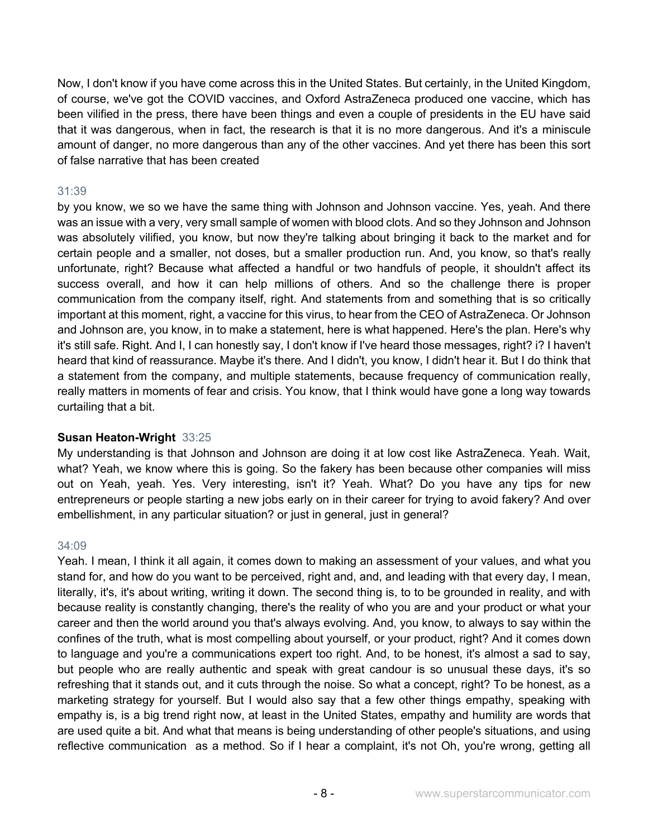Now, I don't know if you have come across this in the United States. But certainly, in the United Kingdom, of course, we've got the COVID vaccines, and Oxford AstraZeneca produced one vaccine, which has been vilified in the press, there have been things and even a couple of presidents in the EU have said that it was dangerous, when in fact, the research is that it is no more dangerous. And it's a miniscule amount of danger, no more dangerous than any of the other vaccines. And yet there has been this sort of false narrative that has been created

# 31:39

by you know, we so we have the same thing with Johnson and Johnson vaccine. Yes, yeah. And there was an issue with a very, very small sample of women with blood clots. And so they Johnson and Johnson was absolutely vilified, you know, but now they're talking about bringing it back to the market and for certain people and a smaller, not doses, but a smaller production run. And, you know, so that's really unfortunate, right? Because what affected a handful or two handfuls of people, it shouldn't affect its success overall, and how it can help millions of others. And so the challenge there is proper communication from the company itself, right. And statements from and something that is so critically important at this moment, right, a vaccine for this virus, to hear from the CEO of AstraZeneca. Or Johnson and Johnson are, you know, in to make a statement, here is what happened. Here's the plan. Here's why it's still safe. Right. And I, I can honestly say, I don't know if I've heard those messages, right? i? I haven't heard that kind of reassurance. Maybe it's there. And I didn't, you know, I didn't hear it. But I do think that a statement from the company, and multiple statements, because frequency of communication really, really matters in moments of fear and crisis. You know, that I think would have gone a long way towards curtailing that a bit.

## **Susan Heaton-Wright** 33:25

My understanding is that Johnson and Johnson are doing it at low cost like AstraZeneca. Yeah. Wait, what? Yeah, we know where this is going. So the fakery has been because other companies will miss out on Yeah, yeah. Yes. Very interesting, isn't it? Yeah. What? Do you have any tips for new entrepreneurs or people starting a new jobs early on in their career for trying to avoid fakery? And over embellishment, in any particular situation? or just in general, just in general?

#### 34:09

Yeah. I mean, I think it all again, it comes down to making an assessment of your values, and what you stand for, and how do you want to be perceived, right and, and, and leading with that every day, I mean, literally, it's, it's about writing, writing it down. The second thing is, to to be grounded in reality, and with because reality is constantly changing, there's the reality of who you are and your product or what your career and then the world around you that's always evolving. And, you know, to always to say within the confines of the truth, what is most compelling about yourself, or your product, right? And it comes down to language and you're a communications expert too right. And, to be honest, it's almost a sad to say, but people who are really authentic and speak with great candour is so unusual these days, it's so refreshing that it stands out, and it cuts through the noise. So what a concept, right? To be honest, as a marketing strategy for yourself. But I would also say that a few other things empathy, speaking with empathy is, is a big trend right now, at least in the United States, empathy and humility are words that are used quite a bit. And what that means is being understanding of other people's situations, and using reflective communication as a method. So if I hear a complaint, it's not Oh, you're wrong, getting all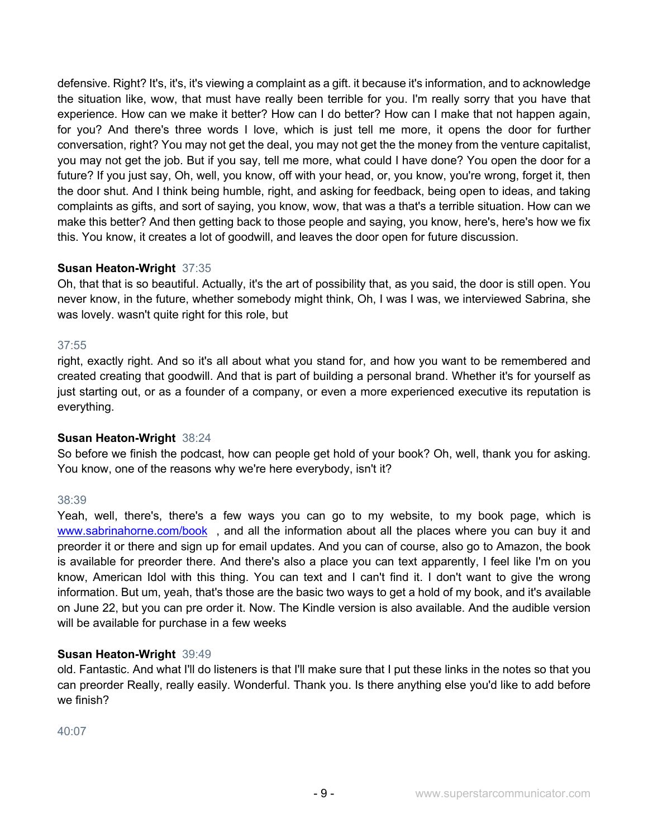defensive. Right? It's, it's, it's viewing a complaint as a gift. it because it's information, and to acknowledge the situation like, wow, that must have really been terrible for you. I'm really sorry that you have that experience. How can we make it better? How can I do better? How can I make that not happen again, for you? And there's three words I love, which is just tell me more, it opens the door for further conversation, right? You may not get the deal, you may not get the the money from the venture capitalist, you may not get the job. But if you say, tell me more, what could I have done? You open the door for a future? If you just say, Oh, well, you know, off with your head, or, you know, you're wrong, forget it, then the door shut. And I think being humble, right, and asking for feedback, being open to ideas, and taking complaints as gifts, and sort of saying, you know, wow, that was a that's a terrible situation. How can we make this better? And then getting back to those people and saying, you know, here's, here's how we fix this. You know, it creates a lot of goodwill, and leaves the door open for future discussion.

# **Susan Heaton-Wright** 37:35

Oh, that that is so beautiful. Actually, it's the art of possibility that, as you said, the door is still open. You never know, in the future, whether somebody might think, Oh, I was I was, we interviewed Sabrina, she was lovely. wasn't quite right for this role, but

# 37:55

right, exactly right. And so it's all about what you stand for, and how you want to be remembered and created creating that goodwill. And that is part of building a personal brand. Whether it's for yourself as just starting out, or as a founder of a company, or even a more experienced executive its reputation is everything.

## **Susan Heaton-Wright** 38:24

So before we finish the podcast, how can people get hold of your book? Oh, well, thank you for asking. You know, one of the reasons why we're here everybody, isn't it?

## 38:39

Yeah, well, there's, there's a few ways you can go to my website, to my book page, which is www.sabrinahorne.com/book, and all the information about all the places where you can buy it and preorder it or there and sign up for email updates. And you can of course, also go to Amazon, the book is available for preorder there. And there's also a place you can text apparently, I feel like I'm on you know, American Idol with this thing. You can text and I can't find it. I don't want to give the wrong information. But um, yeah, that's those are the basic two ways to get a hold of my book, and it's available on June 22, but you can pre order it. Now. The Kindle version is also available. And the audible version will be available for purchase in a few weeks

## **Susan Heaton-Wright** 39:49

old. Fantastic. And what I'll do listeners is that I'll make sure that I put these links in the notes so that you can preorder Really, really easily. Wonderful. Thank you. Is there anything else you'd like to add before we finish?

## 40:07